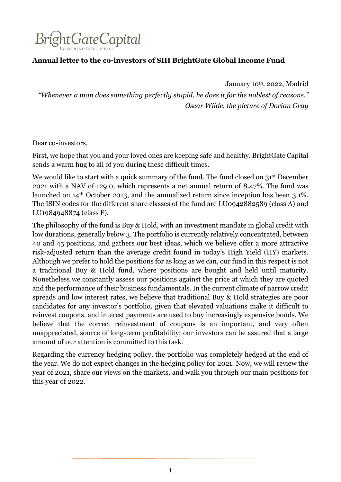

# **Annual letter to the co-investors of SIH BrightGate Global Income Fund**

January 10th, 2022, Madrid

*"Whenever a man does something perfectly stupid, he does it for the noblest of reasons." Oscar Wilde, the picture of Dorian Gray*

Dear co-investors,

First, we hope that you and your loved ones are keeping safe and healthy. BrightGate Capital sends a warm hug to all of you during these difficult times.

We would like to start with a quick summary of the fund. The fund closed on 31<sup>st</sup> December 2021 with a NAV of 129.0, which represents a net annual return of 8.47%. The fund was launched on 14th October 2013, and the annualized return since inception has been 3.1%. The ISIN codes for the different share classes of the fund are LU0942882589 (class A) and LU1984948874 (class F).

The philosophy of the fund is Buy & Hold, with an investment mandate in global credit with low durations, generally below 3. The portfolio is currently relatively concentrated, between 40 and 45 positions, and gathers our best ideas, which we believe offer a more attractive risk-adjusted return than the average credit found in today's High Yield (HY) markets. Although we prefer to hold the positions for as long as we can, our fund in this respect is not a traditional Buy & Hold fund, where positions are bought and held until maturity. Nonetheless we constantly assess our positions against the price at which they are quoted and the performance of their business fundamentals. In the current climate of narrow credit spreads and low interest rates, we believe that traditional Buy & Hold strategies are poor candidates for any investor's portfolio, given that elevated valuations make it difficult to reinvest coupons, and interest payments are used to buy increasingly expensive bonds. We believe that the correct reinvestment of coupons is an important, and very often unappreciated, source of long-term profitability; our investors can be assured that a large amount of our attention is committed to this task.

Regarding the currency hedging policy, the portfolio was completely hedged at the end of the year. We do not expect changes in the hedging policy for 2021. Now, we will review the year of 2021, share our views on the markets, and walk you through our main positions for this year of 2022.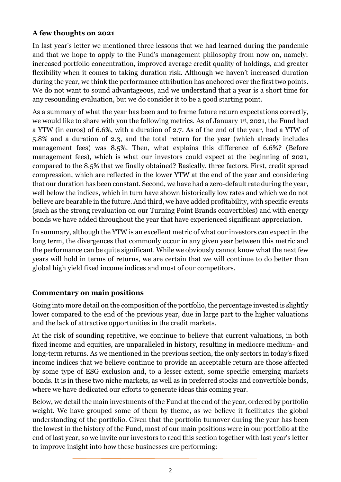### **A few thoughts on 2021**

In last year's letter we mentioned three lessons that we had learned during the pandemic and that we hope to apply to the Fund's management philosophy from now on, namely: increased portfolio concentration, improved average credit quality of holdings, and greater flexibility when it comes to taking duration risk. Although we haven't increased duration during the year, we think the performance attribution has anchored over the first two points. We do not want to sound advantageous, and we understand that a year is a short time for any resounding evaluation, but we do consider it to be a good starting point.

As a summary of what the year has been and to frame future return expectations correctly, we would like to share with you the following metrics. As of January 1st, 2021, the Fund had a YTW (in euros) of 6.6%, with a duration of 2.7. As of the end of the year, had a YTW of 5.8% and a duration of 2.3, and the total return for the year (which already includes management fees) was 8.5%. Then, what explains this difference of 6.6%? (Before management fees), which is what our investors could expect at the beginning of 2021, compared to the 8.5% that we finally obtained? Basically, three factors. First, credit spread compression, which are reflected in the lower YTW at the end of the year and considering that our duration has been constant. Second, we have had a zero-default rate during the year, well below the indices, which in turn have shown historically low rates and which we do not believe are bearable in the future. And third, we have added profitability, with specific events (such as the strong revaluation on our Turning Point Brands convertibles) and with energy bonds we have added throughout the year that have experienced significant appreciation.

In summary, although the YTW is an excellent metric of what our investors can expect in the long term, the divergences that commonly occur in any given year between this metric and the performance can be quite significant. While we obviously cannot know what the next few years will hold in terms of returns, we are certain that we will continue to do better than global high yield fixed income indices and most of our competitors.

# **Commentary on main positions**

Going into more detail on the composition of the portfolio, the percentage invested is slightly lower compared to the end of the previous year, due in large part to the higher valuations and the lack of attractive opportunities in the credit markets.

At the risk of sounding repetitive, we continue to believe that current valuations, in both fixed income and equities, are unparalleled in history, resulting in mediocre medium- and long-term returns. As we mentioned in the previous section, the only sectors in today's fixed income indices that we believe continue to provide an acceptable return are those affected by some type of ESG exclusion and, to a lesser extent, some specific emerging markets bonds. It is in these two niche markets, as well as in preferred stocks and convertible bonds, where we have dedicated our efforts to generate ideas this coming year.

Below, we detail the main investments of the Fund at the end of the year, ordered by portfolio weight. We have grouped some of them by theme, as we believe it facilitates the global understanding of the portfolio. Given that the portfolio turnover during the year has been the lowest in the history of the Fund, most of our main positions were in our portfolio at the end of last year, so we invite our investors to read this section together with last year's letter to improve insight into how these businesses are performing: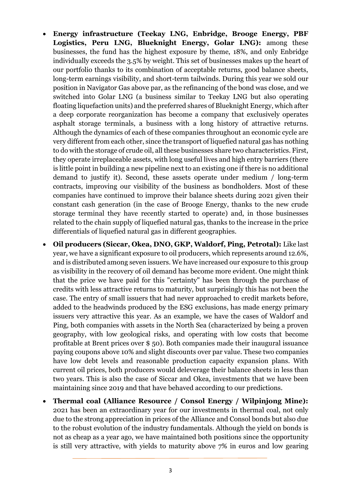- **Energy infrastructure (Teekay LNG, Enbridge, Brooge Energy, PBF Logistics, Peru LNG, Blueknight Energy, Golar LNG):** among these businesses, the fund has the highest exposure by theme, 18%, and only Enbridge individually exceeds the 3.5% by weight. This set of businesses makes up the heart of our portfolio thanks to its combination of acceptable returns, good balance sheets, long-term earnings visibility, and short-term tailwinds. During this year we sold our position in Navigator Gas above par, as the refinancing of the bond was close, and we switched into Golar LNG (a business similar to Teekay LNG but also operating floating liquefaction units) and the preferred shares of Blueknight Energy, which after a deep corporate reorganization has become a company that exclusively operates asphalt storage terminals, a business with a long history of attractive returns. Although the dynamics of each of these companies throughout an economic cycle are very different from each other, since the transport of liquefied natural gas has nothing to do with the storage of crude oil, all these businesses share two characteristics. First, they operate irreplaceable assets, with long useful lives and high entry barriers (there is little point in building a new pipeline next to an existing one if there is no additional demand to justify it). Second, these assets operate under medium / long-term contracts, improving our visibility of the business as bondholders. Most of these companies have continued to improve their balance sheets during 2021 given their constant cash generation (in the case of Brooge Energy, thanks to the new crude storage terminal they have recently started to operate) and, in those businesses related to the chain supply of liquefied natural gas, thanks to the increase in the price differentials of liquefied natural gas in different geographies.
- **Oil producers (Siccar, Okea, DNO, GKP, Waldorf, Ping, Petrotal):** Like last year, we have a significant exposure to oil producers, which represents around 12.6%, and is distributed among seven issuers. We have increased our exposure to this group as visibility in the recovery of oil demand has become more evident. One might think that the price we have paid for this "certainty" has been through the purchase of credits with less attractive returns to maturity, but surprisingly this has not been the case. The entry of small issuers that had never approached to credit markets before, added to the headwinds produced by the ESG exclusions, has made energy primary issuers very attractive this year. As an example, we have the cases of Waldorf and Ping, both companies with assets in the North Sea (characterized by being a proven geography, with low geological risks, and operating with low costs that become profitable at Brent prices over \$ 50). Both companies made their inaugural issuance paying coupons above 10% and slight discounts over par value. These two companies have low debt levels and reasonable production capacity expansion plans. With current oil prices, both producers would deleverage their balance sheets in less than two years. This is also the case of Siccar and Okea, investments that we have been maintaining since 2019 and that have behaved according to our predictions.
- **Thermal coal (Alliance Resource / Consol Energy / Wilpinjong Mine):** 2021 has been an extraordinary year for our investments in thermal coal, not only due to the strong appreciation in prices of the Alliance and Consol bonds but also due to the robust evolution of the industry fundamentals. Although the yield on bonds is not as cheap as a year ago, we have maintained both positions since the opportunity is still very attractive, with yields to maturity above 7% in euros and low gearing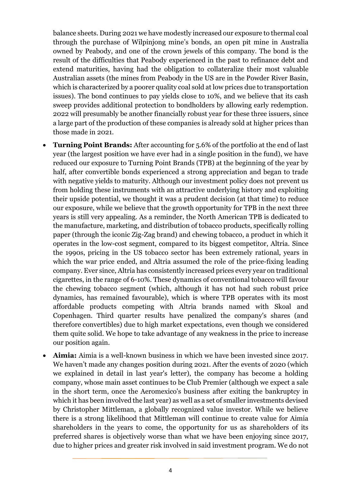balance sheets. During 2021 we have modestly increased our exposure to thermal coal through the purchase of Wilpinjong mine's bonds, an open pit mine in Australia owned by Peabody, and one of the crown jewels of this company. The bond is the result of the difficulties that Peabody experienced in the past to refinance debt and extend maturities, having had the obligation to collateralize their most valuable Australian assets (the mines from Peabody in the US are in the Powder River Basin, which is characterized by a poorer quality coal sold at low prices due to transportation issues). The bond continues to pay yields close to 10%, and we believe that its cash sweep provides additional protection to bondholders by allowing early redemption. 2022 will presumably be another financially robust year for these three issuers, since a large part of the production of these companies is already sold at higher prices than those made in 2021.

- **Turning Point Brands:** After accounting for 5.6% of the portfolio at the end of last year (the largest position we have ever had in a single position in the fund), we have reduced our exposure to Turning Point Brands (TPB) at the beginning of the year by half, after convertible bonds experienced a strong appreciation and began to trade with negative yields to maturity. Although our investment policy does not prevent us from holding these instruments with an attractive underlying history and exploiting their upside potential, we thought it was a prudent decision (at that time) to reduce our exposure, while we believe that the growth opportunity for TPB in the next three years is still very appealing. As a reminder, the North American TPB is dedicated to the manufacture, marketing, and distribution of tobacco products, specifically rolling paper (through the iconic Zig-Zag brand) and chewing tobacco, a product in which it operates in the low-cost segment, compared to its biggest competitor, Altria. Since the 1990s, pricing in the US tobacco sector has been extremely rational, years in which the war price ended, and Altria assumed the role of the price-fixing leading company. Ever since, Altria has consistently increased prices every year on traditional cigarettes, in the range of 6-10%. These dynamics of conventional tobacco will favour the chewing tobacco segment (which, although it has not had such robust price dynamics, has remained favourable), which is where TPB operates with its most affordable products competing with Altria brands named with Skoal and Copenhagen. Third quarter results have penalized the company's shares (and therefore convertibles) due to high market expectations, even though we considered them quite solid. We hope to take advantage of any weakness in the price to increase our position again.
- **Aimia:** Aimia is a well-known business in which we have been invested since 2017. We haven't made any changes position during 2021. After the events of 2020 (which we explained in detail in last year's letter), the company has become a holding company, whose main asset continues to be Club Premier (although we expect a sale in the short term, once the Aeromexico's business after exiting the bankruptcy in which it has been involved the last year) as well as a set of smaller investments devised by Christopher Mittleman, a globally recognized value investor. While we believe there is a strong likelihood that Mittleman will continue to create value for Aimia shareholders in the years to come, the opportunity for us as shareholders of its preferred shares is objectively worse than what we have been enjoying since 2017, due to higher prices and greater risk involved in said investment program. We do not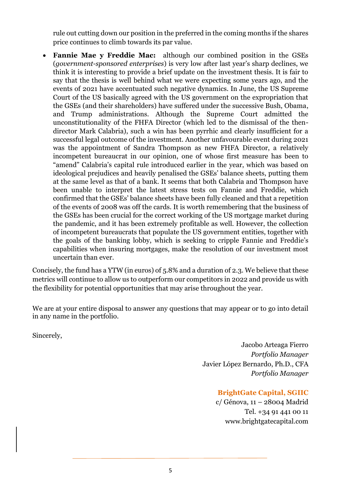rule out cutting down our position in the preferred in the coming months if the shares price continues to climb towards its par value.

• **Fannie Mae y Freddie Mac:** although our combined position in the GSEs (*government-sponsored enterprises*) is very low after last year's sharp declines, we think it is interesting to provide a brief update on the investment thesis. It is fair to say that the thesis is well behind what we were expecting some years ago, and the events of 2021 have accentuated such negative dynamics. In June, the US Supreme Court of the US basically agreed with the US government on the expropriation that the GSEs (and their shareholders) have suffered under the successive Bush, Obama, and Trump administrations. Although the Supreme Court admitted the unconstitutionality of the FHFA Director (which led to the dismissal of the thendirector Mark Calabria), such a win has been pyrrhic and clearly insufficient for a successful legal outcome of the investment. Another unfavourable event during 2021 was the appointment of Sandra Thompson as new FHFA Director, a relatively incompetent bureaucrat in our opinion, one of whose first measure has been to "amend" Calabria's capital rule introduced earlier in the year, which was based on ideological prejudices and heavily penalised the GSEs' balance sheets, putting them at the same level as that of a bank. It seems that both Calabria and Thompson have been unable to interpret the latest stress tests on Fannie and Freddie, which confirmed that the GSEs' balance sheets have been fully cleaned and that a repetition of the events of 2008 was off the cards. It is worth remembering that the business of the GSEs has been crucial for the correct working of the US mortgage market during the pandemic, and it has been extremely profitable as well. However, the collection of incompetent bureaucrats that populate the US government entities, together with the goals of the banking lobby, which is seeking to cripple Fannie and Freddie's capabilities when insuring mortgages, make the resolution of our investment most uncertain than ever.

Concisely, the fund has a YTW (in euros) of 5.8% and a duration of 2.3. We believe that these metrics will continue to allow us to outperform our competitors in 2022 and provide us with the flexibility for potential opportunities that may arise throughout the year.

We are at your entire disposal to answer any questions that may appear or to go into detail in any name in the portfolio.

Sincerely,

Jacobo Arteaga Fierro *Portfolio Manager* Javier López Bernardo, Ph.D., CFA *Portfolio Manager*

#### **BrightGate Capital, SGIIC**

c/ Génova, 11 – 28004 Madrid Tel. +34 91 441 00 11 www.brightgatecapital.com